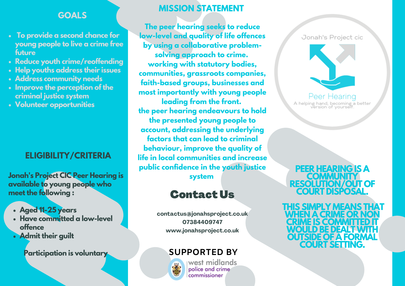#### **GOALS**

- **To provide a second chance for young people to live a crime free future**
- **Reduce youth crime/reoffending**
- **Help youths address their issues**
- **Address community needs**
- **Improve the perception of the criminal justice system**
- **Volunteer opportunities**

#### **ELIGIBILITY/CRITERIA**

**Jonah's Project CIC Peer Hearing is available to young people who meet the following :**

- **Aged 11-25 years**
- **Have committed a low-level offence**
- **Admit their guilt**

**Participation is voluntary SUPPORTED BY**

#### **MISSION STATEMENT**

**The peer hearing seeks to reduce low-level and quality of life offences by using a collaborative problemsolving approach to crime. working with statutory bodies, communities, grassroots companies, faith-based groups, businesses and most importantly with young people leading from the front. the peer hearing endeavours to hold the presented young people to account, addressing the underlying factors that can lead to criminal behaviour, improve the quality of life in local communities and increase public confidence in the youth justice system**

# Contact Us

**contactus@jonahsproject.co.uk 07384409747 www.jonahsproject.co.uk**



west midlands police and crime .<br>commissioner

Jonah's Project cic



Peer Hearing A helping hand, becoming a better<br>version of yourself.

**PEER HEARING IS A COMMUNITY RESOLUTION/OUT OF COURT DISPOSAL.**

**THIS SIMPLY MEANS THAT WHEN A CRIME OR NON CRIME IS COMMITTED IT WOULD BE DEALTWITH OUTSIDE OF A FORMAL COURT SETTING.**